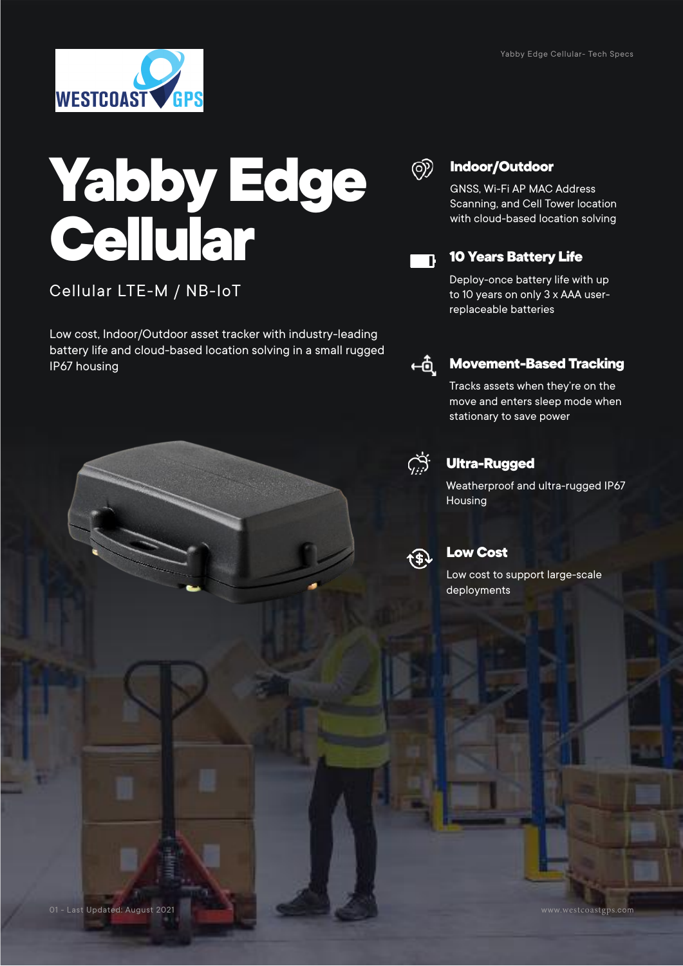

# **Yabby Edge Cellular**

#### Cellular LTE-M / NB-IoT

Low cost, Indoor/Outdoor asset tracker with industry-leading battery life and cloud-based location solving in a small rugged IP67 housing



#### **Indoor/Outdoor**

GNSS, Wi-Fi AP MAC Address Scanning, and Cell Tower location with cloud-based location solving



#### **10 Years Battery Life**

Deploy-once battery life with up to 10 years on only 3 x AAA userreplaceable batteries



#### **Movement-Based Tracking**

Tracks assets when they're on the move and enters sleep mode when stationary to save power



#### **Ultra-Rugged**

Weatherproof and ultra-rugged IP67 Housing



#### **Low Cost**

Low cost to support large-scale deployments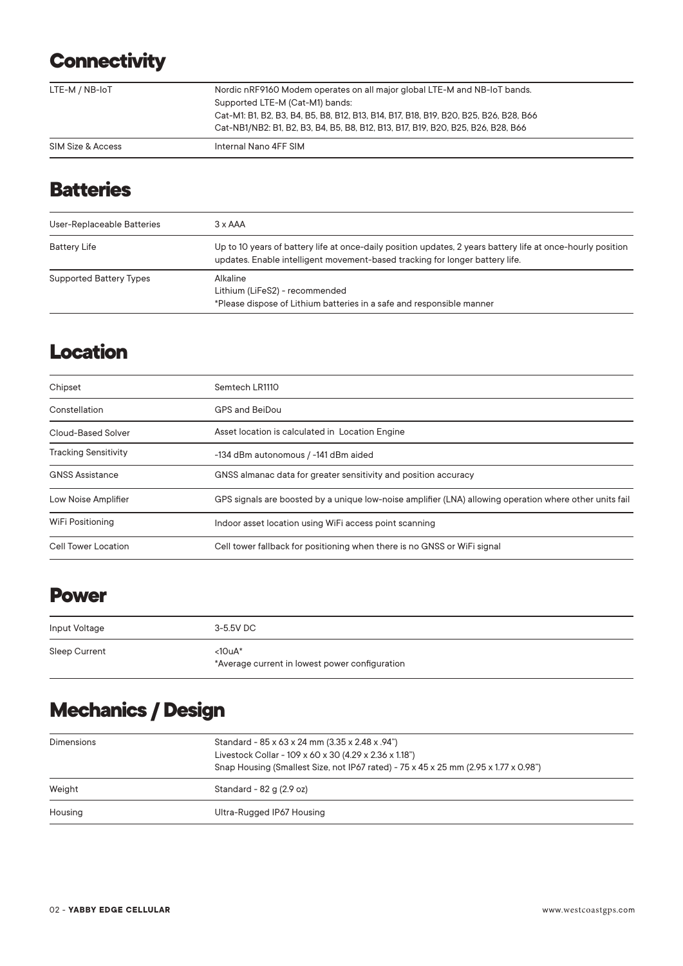# **Connectivity**

|                   | Cat-M1: B1, B2, B3, B4, B5, B8, B12, B13, B14, B17, B18, B19, B20, B25, B26, B28, B66<br>Cat-NB1/NB2: B1, B2, B3, B4, B5, B8, B12, B13, B17, B19, B20, B25, B26, B28, B66 |  |
|-------------------|---------------------------------------------------------------------------------------------------------------------------------------------------------------------------|--|
| SIM Size & Access | Internal Nano 4FF SIM                                                                                                                                                     |  |

## **Batteries**

| User-Replaceable Batteries     | $3 \times AAA$                                                                                                                                                                              |
|--------------------------------|---------------------------------------------------------------------------------------------------------------------------------------------------------------------------------------------|
| <b>Battery Life</b>            | Up to 10 years of battery life at once-daily position updates, 2 years battery life at once-hourly position<br>updates. Enable intelligent movement-based tracking for longer battery life. |
| <b>Supported Battery Types</b> | Alkaline<br>Lithium (LiFeS2) - recommended<br>*Please dispose of Lithium batteries in a safe and responsible manner                                                                         |

## **Location**

| Chipset                     | Semtech LR1110                                                                                          |
|-----------------------------|---------------------------------------------------------------------------------------------------------|
| Constellation               | GPS and BeiDou                                                                                          |
| Cloud-Based Solver          | Asset location is calculated in Location Engine                                                         |
| <b>Tracking Sensitivity</b> | -134 dBm autonomous / -141 dBm aided                                                                    |
| <b>GNSS Assistance</b>      | GNSS almanac data for greater sensitivity and position accuracy                                         |
| Low Noise Amplifier         | GPS signals are boosted by a unique low-noise amplifier (LNA) allowing operation where other units fail |
| WiFi Positioning            | Indoor asset location using WiFi access point scanning                                                  |
| Cell Tower Location         | Cell tower fallback for positioning when there is no GNSS or WiFi signal                                |

#### **Power**

| Input Voltage | 3-5.5V DC                                                |
|---------------|----------------------------------------------------------|
| Sleep Current | <10uA*<br>*Average current in lowest power configuration |

# **Mechanics / Design**

| <b>Dimensions</b> | Standard - 85 x 63 x 24 mm (3.35 x 2.48 x .94")<br>Livestock Collar - 109 x 60 x 30 (4.29 x 2.36 x 1.18")<br>Snap Housing (Smallest Size, not IP67 rated) - 75 x 45 x 25 mm (2.95 x 1.77 x 0.98") |
|-------------------|---------------------------------------------------------------------------------------------------------------------------------------------------------------------------------------------------|
| Weight            | Standard - 82 g (2.9 oz)                                                                                                                                                                          |
| Housing           | Ultra-Rugged IP67 Housing                                                                                                                                                                         |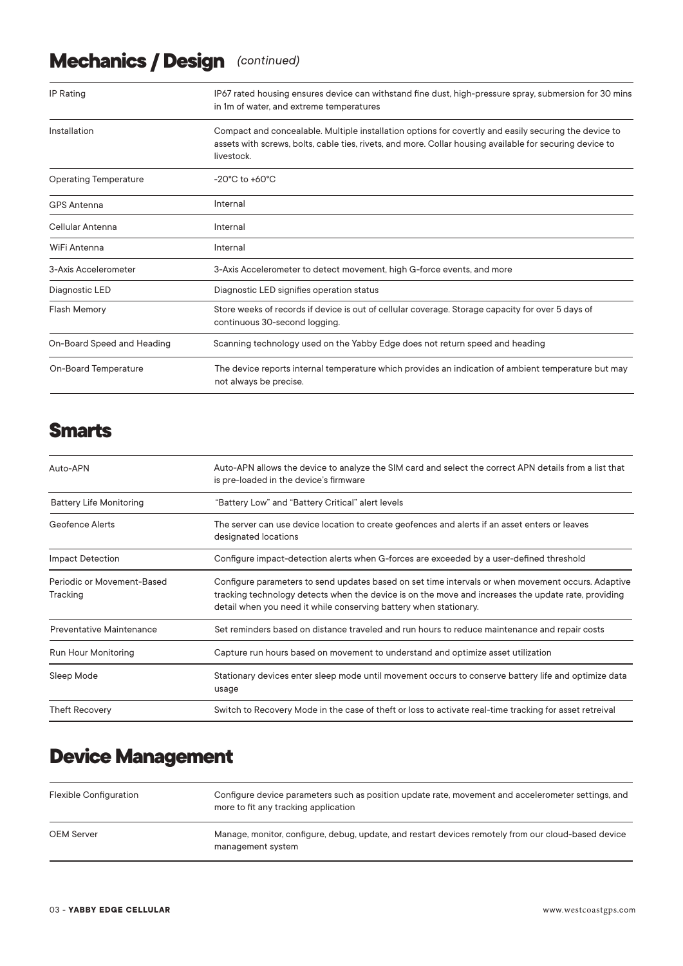# **Mechanics / Design** *(continued)*

| <b>IP Rating</b>             | IP67 rated housing ensures device can withstand fine dust, high-pressure spray, submersion for 30 mins<br>in 1m of water, and extreme temperatures                                                                              |
|------------------------------|---------------------------------------------------------------------------------------------------------------------------------------------------------------------------------------------------------------------------------|
| Installation                 | Compact and concealable. Multiple installation options for covertly and easily securing the device to<br>assets with screws, bolts, cable ties, rivets, and more. Collar housing available for securing device to<br>livestock. |
| <b>Operating Temperature</b> | $-20^{\circ}$ C to $+60^{\circ}$ C                                                                                                                                                                                              |
| <b>GPS Antenna</b>           | Internal                                                                                                                                                                                                                        |
| Cellular Antenna             | Internal                                                                                                                                                                                                                        |
| WiFi Antenna                 | Internal                                                                                                                                                                                                                        |
| 3-Axis Accelerometer         | 3-Axis Accelerometer to detect movement, high G-force events, and more                                                                                                                                                          |
| Diagnostic LED               | Diagnostic LED signifies operation status                                                                                                                                                                                       |
| <b>Flash Memory</b>          | Store weeks of records if device is out of cellular coverage. Storage capacity for over 5 days of<br>continuous 30-second logging.                                                                                              |
| On-Board Speed and Heading   | Scanning technology used on the Yabby Edge does not return speed and heading                                                                                                                                                    |
| On-Board Temperature         | The device reports internal temperature which provides an indication of ambient temperature but may<br>not always be precise.                                                                                                   |

### **Smarts**

| Auto-APN                               | Auto-APN allows the device to analyze the SIM card and select the correct APN details from a list that<br>is pre-loaded in the device's firmware                                                                                                                               |
|----------------------------------------|--------------------------------------------------------------------------------------------------------------------------------------------------------------------------------------------------------------------------------------------------------------------------------|
| <b>Battery Life Monitoring</b>         | "Battery Low" and "Battery Critical" alert levels                                                                                                                                                                                                                              |
| <b>Geofence Alerts</b>                 | The server can use device location to create geofences and alerts if an asset enters or leaves<br>designated locations                                                                                                                                                         |
| Impact Detection                       | Configure impact-detection alerts when G-forces are exceeded by a user-defined threshold                                                                                                                                                                                       |
| Periodic or Movement-Based<br>Tracking | Configure parameters to send updates based on set time intervals or when movement occurs. Adaptive<br>tracking technology detects when the device is on the move and increases the update rate, providing<br>detail when you need it while conserving battery when stationary. |
| <b>Preventative Maintenance</b>        | Set reminders based on distance traveled and run hours to reduce maintenance and repair costs                                                                                                                                                                                  |
| Run Hour Monitoring                    | Capture run hours based on movement to understand and optimize asset utilization                                                                                                                                                                                               |
| Sleep Mode                             | Stationary devices enter sleep mode until movement occurs to conserve battery life and optimize data<br>usage                                                                                                                                                                  |
| <b>Theft Recovery</b>                  | Switch to Recovery Mode in the case of theft or loss to activate real-time tracking for asset retreival                                                                                                                                                                        |

## **Device Management**

| <b>Flexible Configuration</b> | Configure device parameters such as position update rate, movement and accelerometer settings, and<br>more to fit any tracking application |
|-------------------------------|--------------------------------------------------------------------------------------------------------------------------------------------|
| <b>OEM Server</b>             | Manage, monitor, configure, debug, update, and restart devices remotely from our cloud-based device<br>management system                   |